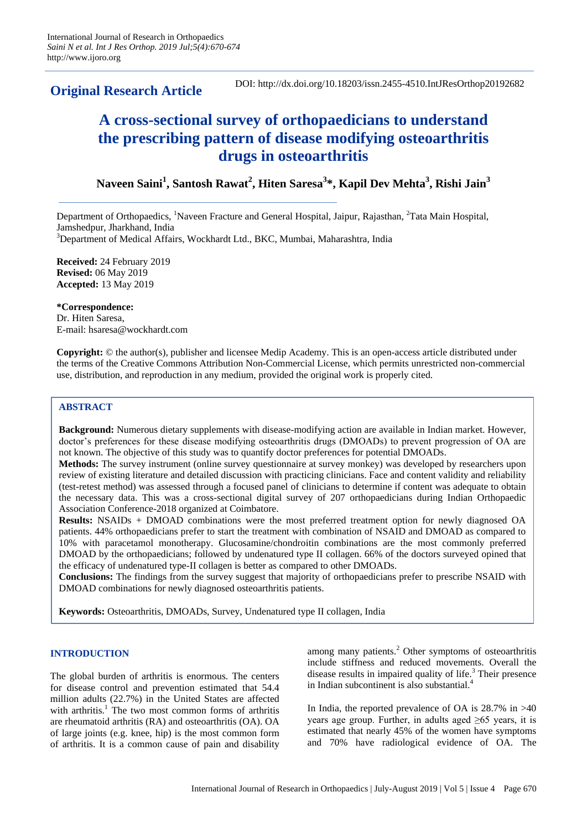# **Original Research Article**

DOI: http://dx.doi.org/10.18203/issn.2455-4510.IntJResOrthop20192682

# **A cross-sectional survey of orthopaedicians to understand the prescribing pattern of disease modifying osteoarthritis drugs in osteoarthritis**

# **Naveen Saini<sup>1</sup> , Santosh Rawat<sup>2</sup> , Hiten Saresa<sup>3</sup> \*, Kapil Dev Mehta<sup>3</sup> , Rishi Jain<sup>3</sup>**

Department of Orthopaedics, <sup>1</sup>Naveen Fracture and General Hospital, Jaipur, Rajasthan, <sup>2</sup>Tata Main Hospital, Jamshedpur, Jharkhand, India <sup>3</sup>Department of Medical Affairs, Wockhardt Ltd., BKC, Mumbai, Maharashtra, India

**Received:** 24 February 2019 **Revised:** 06 May 2019 **Accepted:** 13 May 2019

**\*Correspondence:** Dr. Hiten Saresa, E-mail: hsaresa@wockhardt.com

**Copyright:** © the author(s), publisher and licensee Medip Academy. This is an open-access article distributed under the terms of the Creative Commons Attribution Non-Commercial License, which permits unrestricted non-commercial use, distribution, and reproduction in any medium, provided the original work is properly cited.

# **ABSTRACT**

**Background:** Numerous dietary supplements with disease-modifying action are available in Indian market. However, doctor's preferences for these disease modifying osteoarthritis drugs (DMOADs) to prevent progression of OA are not known. The objective of this study was to quantify doctor preferences for potential DMOADs.

**Methods:** The survey instrument (online survey questionnaire at survey monkey) was developed by researchers upon review of existing literature and detailed discussion with practicing clinicians. Face and content validity and reliability (test-retest method) was assessed through a focused panel of clinicians to determine if content was adequate to obtain the necessary data. This was a cross-sectional digital survey of 207 orthopaedicians during Indian Orthopaedic Association Conference-2018 organized at Coimbatore.

**Results:** NSAIDs + DMOAD combinations were the most preferred treatment option for newly diagnosed OA patients. 44% orthopaedicians prefer to start the treatment with combination of NSAID and DMOAD as compared to 10% with paracetamol monotherapy. Glucosamine/chondroitin combinations are the most commonly preferred DMOAD by the orthopaedicians; followed by undenatured type II collagen. 66% of the doctors surveyed opined that the efficacy of undenatured type-II collagen is better as compared to other DMOADs.

**Conclusions:** The findings from the survey suggest that majority of orthopaedicians prefer to prescribe NSAID with DMOAD combinations for newly diagnosed osteoarthritis patients.

**Keywords:** Osteoarthritis, DMOADs, Survey, Undenatured type II collagen, India

#### **INTRODUCTION**

The global burden of arthritis is enormous. The centers for disease control and prevention estimated that 54.4 million adults (22.7%) in the United States are affected with arthritis. $<sup>1</sup>$  The two most common forms of arthritis</sup> are rheumatoid arthritis (RA) and osteoarthritis (OA). OA of large joints (e.g. knee, hip) is the most common form of arthritis. It is a common cause of pain and disability among many patients.<sup>2</sup> Other symptoms of osteoarthritis include stiffness and reduced movements. Overall the disease results in impaired quality of life. $3$  Their presence in Indian subcontinent is also substantial.<sup>4</sup>

In India, the reported prevalence of OA is 28.7% in >40 years age group. Further, in adults aged  $\geq 65$  years, it is estimated that nearly 45% of the women have symptoms and 70% have radiological evidence of OA. The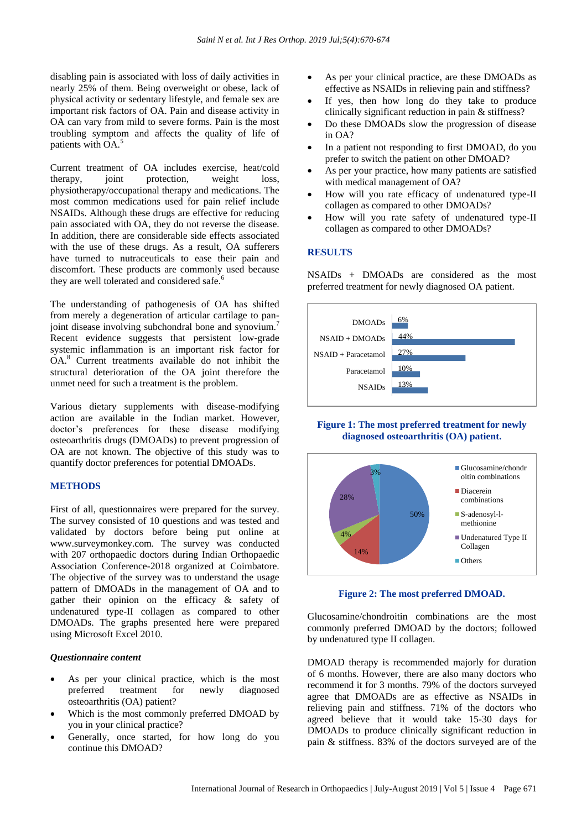disabling pain is associated with loss of daily activities in nearly 25% of them. Being overweight or obese, lack of physical activity or sedentary lifestyle, and female sex are important risk factors of OA. Pain and disease activity in OA can vary from mild to severe forms. Pain is the most troubling symptom and affects the quality of life of patients with OA.<sup>5</sup>

Current treatment of OA includes exercise, heat/cold therapy, joint protection, weight loss, physiotherapy/occupational therapy and medications. The most common medications used for pain relief include NSAIDs. Although these drugs are effective for reducing pain associated with OA, they do not reverse the disease. In addition, there are considerable side effects associated with the use of these drugs. As a result, OA sufferers have turned to nutraceuticals to ease their pain and discomfort. These products are commonly used because they are well tolerated and considered safe.

The understanding of pathogenesis of OA has shifted from merely a degeneration of articular cartilage to panjoint disease involving subchondral bone and synovium.<sup>7</sup> Recent evidence suggests that persistent low-grade systemic inflammation is an important risk factor for OA.<sup>8</sup> Current treatments available do not inhibit the structural deterioration of the OA joint therefore the unmet need for such a treatment is the problem.

Various dietary supplements with disease-modifying action are available in the Indian market. However, doctor's preferences for these disease modifying osteoarthritis drugs (DMOADs) to prevent progression of OA are not known. The objective of this study was to quantify doctor preferences for potential DMOADs.

# **METHODS**

First of all, questionnaires were prepared for the survey. The survey consisted of 10 questions and was tested and validated by doctors before being put online at www.surveymonkey.com. The survey was conducted with 207 orthopaedic doctors during Indian Orthopaedic Association Conference-2018 organized at Coimbatore. The objective of the survey was to understand the usage pattern of DMOADs in the management of OA and to gather their opinion on the efficacy & safety of undenatured type-II collagen as compared to other DMOADs. The graphs presented here were prepared using Microsoft Excel 2010.

#### *Questionnaire content*

- As per your clinical practice, which is the most preferred treatment for newly diagnosed osteoarthritis (OA) patient?
- Which is the most commonly preferred DMOAD by you in your clinical practice?
- Generally, once started, for how long do you continue this DMOAD?
- As per your clinical practice, are these DMOADs as effective as NSAIDs in relieving pain and stiffness?
- If yes, then how long do they take to produce clinically significant reduction in pain & stiffness?
- Do these DMOADs slow the progression of disease in OA?
- In a patient not responding to first DMOAD, do you prefer to switch the patient on other DMOAD?
- As per your practice, how many patients are satisfied with medical management of OA?
- How will you rate efficacy of undenatured type-II collagen as compared to other DMOADs?
- How will you rate safety of undenatured type-II collagen as compared to other DMOADs?

# **RESULTS**

NSAIDs + DMOADs are considered as the most preferred treatment for newly diagnosed OA patient.



**Figure 1: The most preferred treatment for newly diagnosed osteoarthritis (OA) patient.**



**Figure 2: The most preferred DMOAD.**

Glucosamine/chondroitin combinations are the most commonly preferred DMOAD by the doctors; followed by undenatured type II collagen.

DMOAD therapy is recommended majorly for duration of 6 months. However, there are also many doctors who recommend it for 3 months. 79% of the doctors surveyed agree that DMOADs are as effective as NSAIDs in relieving pain and stiffness. 71% of the doctors who agreed believe that it would take 15-30 days for DMOADs to produce clinically significant reduction in pain & stiffness. 83% of the doctors surveyed are of the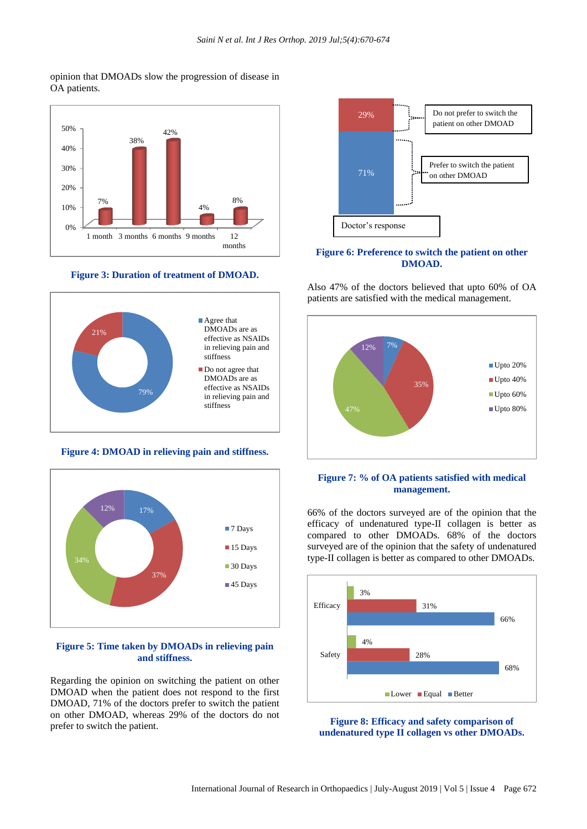#### opinion that DMOADs slow the progression of disease in OA patients.



## **Figure 3: Duration of treatment of DMOAD.**



#### **Figure 4: DMOAD in relieving pain and stiffness.**



#### **Figure 5: Time taken by DMOADs in relieving pain and stiffness.**

Regarding the opinion on switching the patient on other DMOAD when the patient does not respond to the first DMOAD, 71% of the doctors prefer to switch the patient on other DMOAD, whereas 29% of the doctors do not prefer to switch the patient.



## **Figure 6: Preference to switch the patient on other DMOAD.**

Also 47% of the doctors believed that upto 60% of OA patients are satisfied with the medical management.



# **Figure 7: % of OA patients satisfied with medical management.**

66% of the doctors surveyed are of the opinion that the efficacy of undenatured type-II collagen is better as compared to other DMOADs. 68% of the doctors surveyed are of the opinion that the safety of undenatured type-II collagen is better as compared to other DMOADs.



**Figure 8: Efficacy and safety comparison of undenatured type II collagen vs other DMOADs.**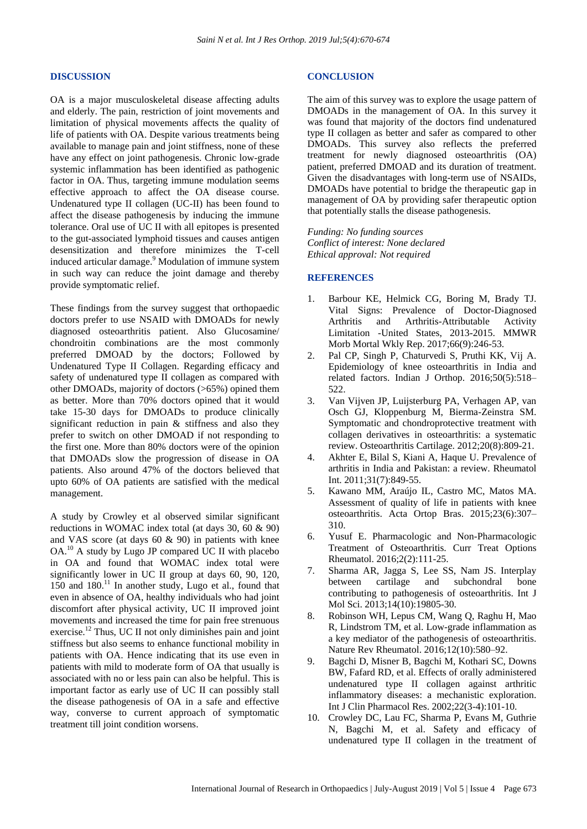#### **DISCUSSION**

OA is a major musculoskeletal disease affecting adults and elderly. The pain, restriction of joint movements and limitation of physical movements affects the quality of life of patients with OA. Despite various treatments being available to manage pain and joint stiffness, none of these have any effect on joint pathogenesis. Chronic low-grade systemic inflammation has been identified as pathogenic factor in OA. Thus, targeting immune modulation seems effective approach to affect the OA disease course. Undenatured type II collagen (UC-II) has been found to affect the disease pathogenesis by inducing the immune tolerance. Oral use of UC II with all epitopes is presented to the gut-associated lymphoid tissues and causes antigen desensitization and therefore minimizes the T-cell induced articular damage.<sup>9</sup> Modulation of immune system in such way can reduce the joint damage and thereby provide symptomatic relief.

These findings from the survey suggest that orthopaedic doctors prefer to use NSAID with DMOADs for newly diagnosed osteoarthritis patient. Also Glucosamine/ chondroitin combinations are the most commonly preferred DMOAD by the doctors; Followed by Undenatured Type II Collagen. Regarding efficacy and safety of undenatured type II collagen as compared with other DMOADs, majority of doctors (>65%) opined them as better. More than 70% doctors opined that it would take 15-30 days for DMOADs to produce clinically significant reduction in pain & stiffness and also they prefer to switch on other DMOAD if not responding to the first one. More than 80% doctors were of the opinion that DMOADs slow the progression of disease in OA patients. Also around 47% of the doctors believed that upto 60% of OA patients are satisfied with the medical management.

A study by Crowley et al observed similar significant reductions in WOMAC index total (at days 30, 60 & 90) and VAS score (at days 60 & 90) in patients with knee OA.<sup>10</sup> A study by Lugo JP compared UC II with placebo in OA and found that WOMAC index total were significantly lower in UC II group at days 60, 90, 120,  $150$  and  $180$ .<sup>11</sup> In another study, Lugo et al., found that even in absence of OA, healthy individuals who had joint discomfort after physical activity, UC II improved joint movements and increased the time for pain free strenuous exercise.<sup>12</sup> Thus, UC II not only diminishes pain and joint stiffness but also seems to enhance functional mobility in patients with OA. Hence indicating that its use even in patients with mild to moderate form of OA that usually is associated with no or less pain can also be helpful. This is important factor as early use of UC II can possibly stall the disease pathogenesis of OA in a safe and effective way, converse to current approach of symptomatic treatment till joint condition worsens.

#### **CONCLUSION**

The aim of this survey was to explore the usage pattern of DMOADs in the management of OA. In this survey it was found that majority of the doctors find undenatured type II collagen as better and safer as compared to other DMOADs. This survey also reflects the preferred treatment for newly diagnosed osteoarthritis (OA) patient, preferred DMOAD and its duration of treatment. Given the disadvantages with long-term use of NSAIDs, DMOADs have potential to bridge the therapeutic gap in management of OA by providing safer therapeutic option that potentially stalls the disease pathogenesis.

*Funding: No funding sources Conflict of interest: None declared Ethical approval: Not required*

#### **REFERENCES**

- 1. Barbour KE, Helmick CG, Boring M, Brady TJ. Vital Signs: Prevalence of Doctor-Diagnosed Arthritis and Arthritis-Attributable Activity Limitation -United States, 2013-2015. MMWR Morb Mortal Wkly Rep. 2017;66(9):246-53.
- 2. Pal CP, Singh P, Chaturvedi S, Pruthi KK, Vij A. Epidemiology of knee osteoarthritis in India and related factors. Indian J Orthop. 2016;50(5):518– 522.
- 3. Van Vijven JP, Luijsterburg PA, Verhagen AP, van Osch GJ, Kloppenburg M, Bierma-Zeinstra SM. Symptomatic and chondroprotective treatment with collagen derivatives in osteoarthritis: a systematic review. Osteoarthritis Cartilage. 2012;20(8):809-21.
- 4. Akhter E, Bilal S, Kiani A, Haque U. Prevalence of arthritis in India and Pakistan: a review. Rheumatol Int. 2011;31(7):849-55.
- 5. Kawano MM, Araújo IL, Castro MC, Matos MA. Assessment of quality of life in patients with knee osteoarthritis. Acta Ortop Bras. 2015;23(6):307– 310.
- 6. Yusuf E. Pharmacologic and Non-Pharmacologic Treatment of Osteoarthritis. Curr Treat Options Rheumatol. 2016;2(2):111-25.
- 7. Sharma AR, Jagga S, Lee SS, Nam JS. Interplay between cartilage and subchondral bone contributing to pathogenesis of osteoarthritis. Int J Mol Sci. 2013;14(10):19805-30.
- 8. Robinson WH, Lepus CM, Wang Q, Raghu H, Mao R, Lindstrom TM, et al. Low-grade inflammation as a key mediator of the pathogenesis of osteoarthritis. Nature Rev Rheumatol. 2016;12(10):580–92.
- 9. Bagchi D, Misner B, Bagchi M, Kothari SC, Downs BW, Fafard RD, et al. Effects of orally administered undenatured type II collagen against arthritic inflammatory diseases: a mechanistic exploration. Int J Clin Pharmacol Res. 2002;22(3-4):101-10.
- 10. Crowley DC, Lau FC, Sharma P, Evans M, Guthrie N, Bagchi M, et al. Safety and efficacy of undenatured type II collagen in the treatment of